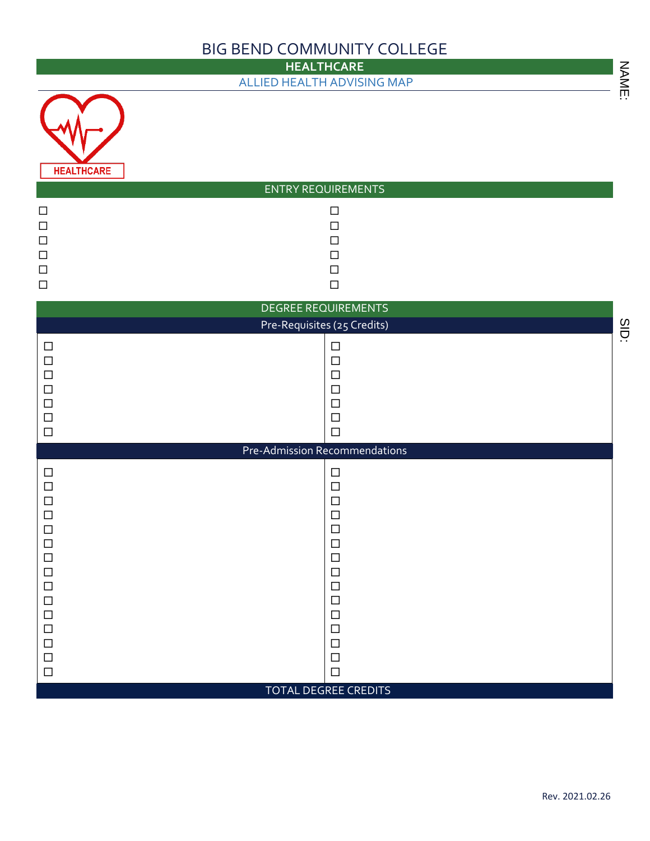## BIG BEND COMMUNITY COLLEGE

|                                                                                                                                                    | <b>HEALTHCARE</b>                                                                                                                                  |       |
|----------------------------------------------------------------------------------------------------------------------------------------------------|----------------------------------------------------------------------------------------------------------------------------------------------------|-------|
|                                                                                                                                                    | ALLIED HEALTH ADVISING MAP                                                                                                                         | NAME: |
| <b>HEALTHCARE</b>                                                                                                                                  | <b>ENTRY REQUIREMENTS</b>                                                                                                                          |       |
| $\Box$<br>$\Box$<br>$\Box$<br>$\Box$<br>$\Box$<br>$\Box$                                                                                           | $\Box$<br>$\Box$<br>$\Box$<br>$\Box$<br>$\Box$<br>$\Box$                                                                                           |       |
|                                                                                                                                                    | DEGREE REQUIREMENTS<br>Pre-Requisites (25 Credits)                                                                                                 |       |
| $\Box$<br>$\Box$<br>$\Box$<br>$\Box$<br>$\Box$<br>$\Box$<br>$\Box$                                                                                 | $\Box$<br>$\Box$<br>$\Box$<br>$\Box$<br>$\Box$<br>$\Box$<br>$\Box$                                                                                 | SID:  |
|                                                                                                                                                    | Pre-Admission Recommendations                                                                                                                      |       |
| $\Box$<br>$\Box$<br>$\Box$<br>$\Box$<br>$\Box$<br>$\Box$<br>$\Box$<br>$\Box$<br>$\Box$<br>$\Box$<br>$\Box$<br>$\Box$<br>$\Box$<br>$\Box$<br>$\Box$ | $\Box$<br>$\Box$<br>$\Box$<br>$\Box$<br>$\Box$<br>$\Box$<br>$\Box$<br>$\Box$<br>$\Box$<br>$\Box$<br>$\Box$<br>$\Box$<br>$\Box$<br>$\Box$<br>$\Box$ |       |
|                                                                                                                                                    | TOTAL DEGREE CREDITS                                                                                                                               |       |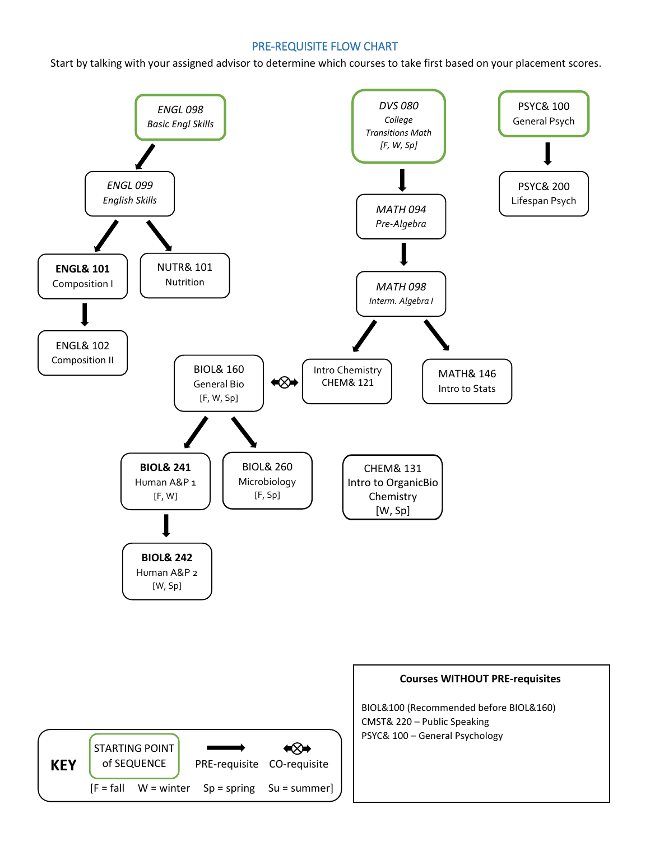## PRE-REQUISITE FLOW CHART

Start by talking with your assigned advisor to determine which courses to take first based on your placement scores.

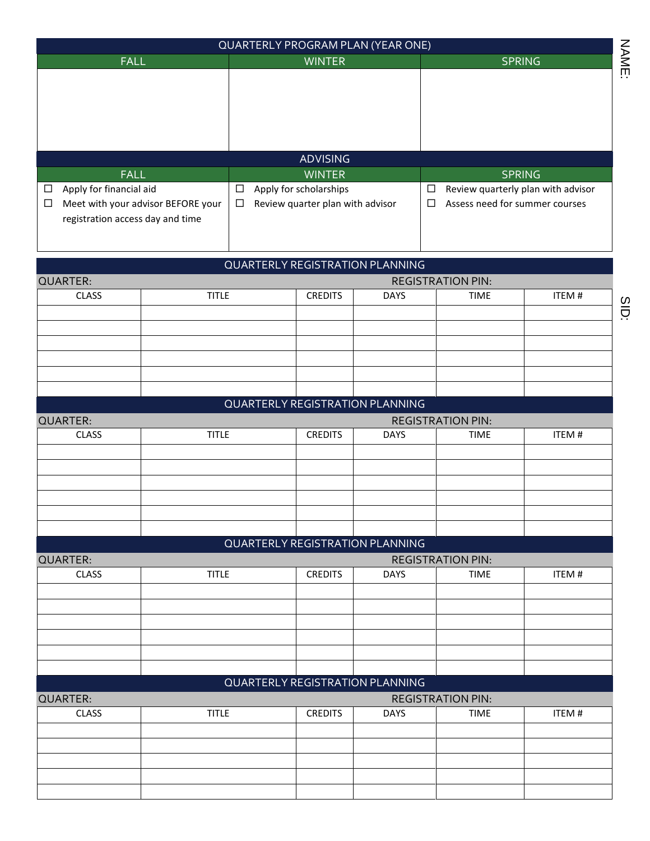|                                            |                                    | QUARTERLY PROGRAM PLAN (YEAR ONE)      |                                  |               |                                          |               |
|--------------------------------------------|------------------------------------|----------------------------------------|----------------------------------|---------------|------------------------------------------|---------------|
| <b>FALL</b>                                |                                    | <b>WINTER</b>                          |                                  | <b>SPRING</b> |                                          |               |
|                                            |                                    |                                        |                                  |               |                                          |               |
|                                            |                                    |                                        |                                  |               |                                          |               |
| <b>FALL</b>                                |                                    |                                        | <b>ADVISING</b><br><b>WINTER</b> |               |                                          | <b>SPRING</b> |
| Apply for financial aid<br>$\Box$          |                                    | Apply for scholarships<br>$\Box$       |                                  | $\Box$        | Review quarterly plan with advisor       |               |
| $\Box$<br>registration access day and time | Meet with your advisor BEFORE your | $\Box$                                 | Review quarter plan with advisor |               | Assess need for summer courses<br>$\Box$ |               |
|                                            |                                    | <b>QUARTERLY REGISTRATION PLANNING</b> |                                  |               |                                          |               |
| <b>QUARTER:</b>                            |                                    |                                        |                                  |               | <b>REGISTRATION PIN:</b>                 |               |
| <b>CLASS</b>                               | <b>TITLE</b>                       |                                        | <b>CREDITS</b>                   | <b>DAYS</b>   | <b>TIME</b>                              | ITEM#         |
|                                            |                                    |                                        |                                  |               |                                          |               |
|                                            |                                    | <b>QUARTERLY REGISTRATION PLANNING</b> |                                  |               |                                          |               |
| <b>QUARTER:</b>                            |                                    |                                        |                                  |               | <b>REGISTRATION PIN:</b>                 |               |
| <b>CLASS</b>                               | <b>TITLE</b>                       |                                        | <b>CREDITS</b>                   | <b>DAYS</b>   | <b>TIME</b>                              | ITEM#         |
|                                            |                                    | <b>QUARTERLY REGISTRATION PLANNING</b> |                                  |               |                                          |               |
| <b>QUARTER:</b><br><b>CLASS</b>            | <b>TITLE</b>                       |                                        | <b>CREDITS</b>                   | <b>DAYS</b>   | <b>REGISTRATION PIN:</b><br><b>TIME</b>  | ITEM#         |
|                                            |                                    |                                        |                                  |               |                                          |               |
|                                            |                                    |                                        |                                  |               |                                          |               |
|                                            |                                    | <b>QUARTERLY REGISTRATION PLANNING</b> |                                  |               |                                          |               |
| <b>QUARTER:</b><br><b>CLASS</b>            | <b>TITLE</b>                       |                                        | <b>CREDITS</b>                   | <b>DAYS</b>   | <b>REGISTRATION PIN:</b><br><b>TIME</b>  | ITEM#         |
|                                            |                                    |                                        |                                  |               |                                          |               |
|                                            |                                    |                                        |                                  |               |                                          |               |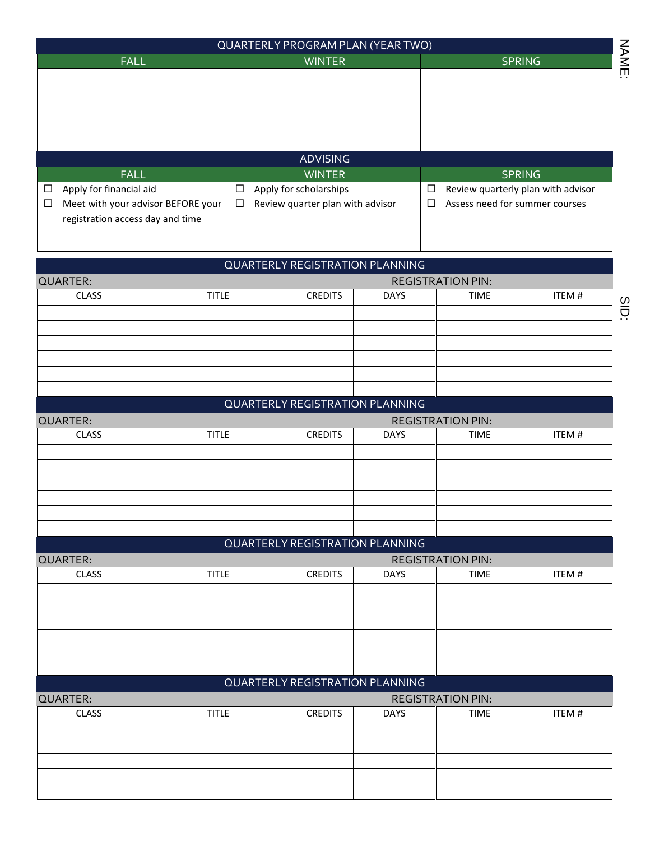|                                            |                                    | <b>QUARTERLY PROGRAM PLAN (YEAR TWO)</b> |                                  |             |                                          |                                    |
|--------------------------------------------|------------------------------------|------------------------------------------|----------------------------------|-------------|------------------------------------------|------------------------------------|
| <b>FALL</b>                                |                                    |                                          | <b>WINTER</b>                    |             |                                          | <b>SPRING</b>                      |
|                                            |                                    |                                          |                                  |             |                                          |                                    |
|                                            |                                    |                                          | <b>ADVISING</b>                  |             |                                          |                                    |
| <b>FALL</b>                                |                                    |                                          | <b>WINTER</b>                    |             |                                          | <b>SPRING</b>                      |
| Apply for financial aid<br>$\Box$          |                                    | $\Box$                                   | Apply for scholarships           |             | $\Box$                                   | Review quarterly plan with advisor |
| $\Box$<br>registration access day and time | Meet with your advisor BEFORE your | $\Box$                                   | Review quarter plan with advisor |             | Assess need for summer courses<br>$\Box$ |                                    |
|                                            |                                    | <b>QUARTERLY REGISTRATION PLANNING</b>   |                                  |             |                                          |                                    |
| <b>QUARTER:</b>                            |                                    |                                          |                                  |             | <b>REGISTRATION PIN:</b>                 |                                    |
| <b>CLASS</b>                               | <b>TITLE</b>                       |                                          | <b>CREDITS</b>                   | <b>DAYS</b> | <b>TIME</b>                              | ITEM#                              |
|                                            |                                    |                                          |                                  |             |                                          |                                    |
|                                            |                                    | <b>QUARTERLY REGISTRATION PLANNING</b>   |                                  |             |                                          |                                    |
| <b>QUARTER:</b>                            |                                    |                                          |                                  |             | <b>REGISTRATION PIN:</b>                 |                                    |
| <b>CLASS</b>                               | <b>TITLE</b>                       |                                          | <b>CREDITS</b>                   | <b>DAYS</b> | <b>TIME</b>                              | ITEM#                              |
|                                            |                                    | <b>QUARTERLY REGISTRATION PLANNING</b>   |                                  |             |                                          |                                    |
| <b>QUARTER:</b><br><b>CLASS</b>            | <b>TITLE</b>                       |                                          | <b>CREDITS</b>                   | <b>DAYS</b> | <b>REGISTRATION PIN:</b><br><b>TIME</b>  | ITEM#                              |
|                                            |                                    |                                          |                                  |             |                                          |                                    |
|                                            |                                    |                                          |                                  |             |                                          |                                    |
|                                            |                                    | <b>QUARTERLY REGISTRATION PLANNING</b>   |                                  |             |                                          |                                    |
| <b>QUARTER:</b>                            |                                    |                                          |                                  |             | <b>REGISTRATION PIN:</b>                 |                                    |
| <b>CLASS</b>                               | <b>TITLE</b>                       |                                          | <b>CREDITS</b>                   | <b>DAYS</b> | <b>TIME</b>                              | ITEM#                              |
|                                            |                                    |                                          |                                  |             |                                          |                                    |